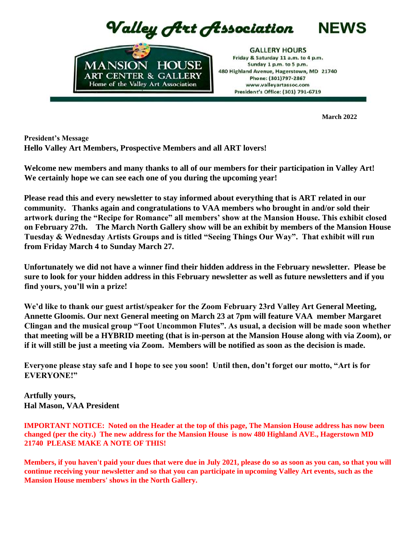Valley Art Association



**GALLERY HOURS** Friday & Saturday 11 a.m. to 4 p.m. Sunday 1 p.m. to 5 p.m. 480 Highland Avenue, Hagerstown, MD 21740 Phone: (301)797-2867 www.valleyartassoc.com President's Office: (301) 791-6719

**March 2022**

**NEWS** 

**President's Message Hello Valley Art Members, Prospective Members and all ART lovers!**

**Welcome new members and many thanks to all of our members for their participation in Valley Art! We certainly hope we can see each one of you during the upcoming year!** 

**Please read this and every newsletter to stay informed about everything that is ART related in our community. Thanks again and congratulations to VAA members who brought in and/or sold their artwork during the "Recipe for Romance" all members' show at the Mansion House. This exhibit closed on February 27th. The March North Gallery show will be an exhibit by members of the Mansion House Tuesday & Wednesday Artists Groups and is titled "Seeing Things Our Way". That exhibit will run from Friday March 4 to Sunday March 27.** 

**Unfortunately we did not have a winner find their hidden address in the February newsletter. Please be sure to look for your hidden address in this February newsletter as well as future newsletters and if you find yours, you'll win a prize!**

**We'd like to thank our guest artist/speaker for the Zoom February 23rd Valley Art General Meeting, Annette Gloomis. Our next General meeting on March 23 at 7pm will feature VAA member Margaret Clingan and the musical group "Toot Uncommon Flutes". As usual, a decision will be made soon whether that meeting will be a HYBRID meeting (that is in-person at the Mansion House along with via Zoom), or if it will still be just a meeting via Zoom. Members will be notified as soon as the decision is made.** 

**Everyone please stay safe and I hope to see you soon! Until then, don't forget our motto, "Art is for EVERYONE!"**

**Artfully yours, Hal Mason, VAA President** 

**IMPORTANT NOTICE: Noted on the Header at the top of this page, The Mansion House address has now been changed (per the city.) The new address for the Mansion House is now 480 Highland AVE., Hagerstown MD 21740 PLEASE MAKE A NOTE OF THIS!**

**Members, if you haven't paid your dues that were due in July 2021, please do so as soon as you can, so that you will continue receiving your newsletter and so that you can participate in upcoming Valley Art events, such as the Mansion House members' shows in the North Gallery.**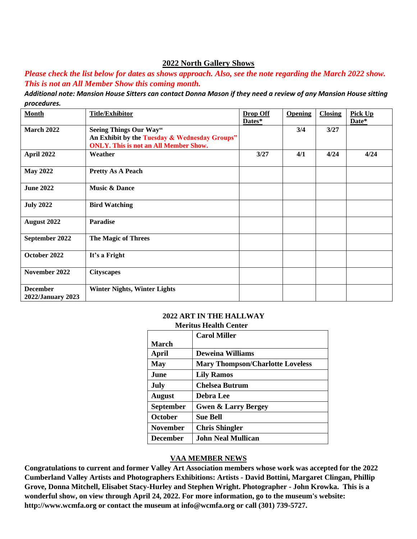#### **2022 North Gallery Shows**

*Please check the list below for dates as shows approach. Also, see the note regarding the March 2022 show. This is not an All Member Show this coming month.*

*Additional note: Mansion House Sitters can contact Donna Mason if they need a review of any Mansion House sitting procedures.*

| <b>Month</b>                         | <b>Title/Exhibitor</b>                                                                                                  | <b>Drop Off</b><br>Dates* | <b>Opening</b> | <b>Closing</b> | <b>Pick Up</b><br>Date* |
|--------------------------------------|-------------------------------------------------------------------------------------------------------------------------|---------------------------|----------------|----------------|-------------------------|
| <b>March 2022</b>                    | Seeing Things Our Way"<br>An Exhibit by the Tuesday & Wednesday Groups"<br><b>ONLY.</b> This is not an All Member Show. |                           | 3/4            | 3/27           |                         |
| April 2022                           | Weather                                                                                                                 | 3/27                      | 4/1            | 4/24           | 4/24                    |
| <b>May 2022</b>                      | <b>Pretty As A Peach</b>                                                                                                |                           |                |                |                         |
| <b>June 2022</b>                     | <b>Music &amp; Dance</b>                                                                                                |                           |                |                |                         |
| <b>July 2022</b>                     | <b>Bird Watching</b>                                                                                                    |                           |                |                |                         |
| August 2022                          | <b>Paradise</b>                                                                                                         |                           |                |                |                         |
| September 2022                       | <b>The Magic of Threes</b>                                                                                              |                           |                |                |                         |
| October 2022                         | It's a Fright                                                                                                           |                           |                |                |                         |
| November 2022                        | <b>Cityscapes</b>                                                                                                       |                           |                |                |                         |
| <b>December</b><br>2022/January 2023 | <b>Winter Nights, Winter Lights</b>                                                                                     |                           |                |                |                         |

#### **2022 ART IN THE HALLWAY Meritus Health Center**

|                  | <b>Carol Miller</b>                     |
|------------------|-----------------------------------------|
|                  |                                         |
| <b>March</b>     |                                         |
| April            | <b>Deweina Williams</b>                 |
| <b>May</b>       | <b>Mary Thompson/Charlotte Loveless</b> |
| <b>June</b>      | <b>Lily Ramos</b>                       |
| July             | <b>Chelsea Butrum</b>                   |
| <b>August</b>    | <b>Debra Lee</b>                        |
| <b>September</b> | <b>Gwen &amp; Larry Bergey</b>          |
| October          | <b>Sue Bell</b>                         |
| <b>November</b>  | <b>Chris Shingler</b>                   |
| <b>December</b>  | <b>John Neal Mullican</b>               |

#### **VAA MEMBER NEWS**

**Congratulations to current and former Valley Art Association members whose work was accepted for the 2022 Cumberland Valley Artists and Photographers Exhibitions: Artists - David Bottini, Margaret Clingan, Phillip Grove, Donna Mitchell, Elisabet Stacy-Hurley and Stephen Wright. Photographer - John Krowka. This is a wonderful show, on view through April 24, 2022. For more information, go to the museum's website: http://www.wcmfa.org or contact the museum at info@wcmfa.org or call (301) 739-5727.**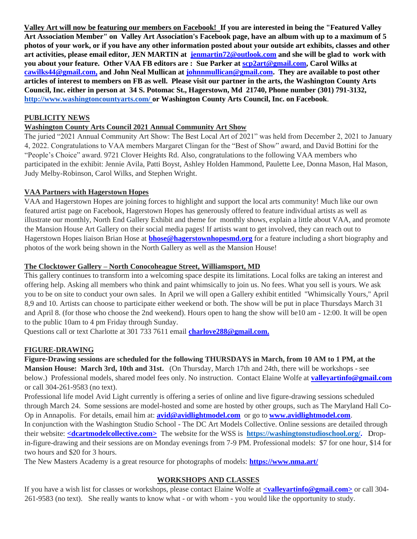**Valley Art will now be featuring our members on Facebook! If you are interested in being the "Featured Valley Art Association Member" on Valley Art Association's Facebook page, have an album with up to a maximum of 5 photos of your work, or if you have any other information posted about your outside art exhibits, classes and other art activities, please email editor, JEN MARTIN at jenmartin72@outlook.com and she will be glad to work with you about your feature. Other VAA FB editors are : Sue Parker at scp2art@gmail.com, Carol Wilks at cawilks44@gmail.com, and John Neal Mullican at johnnmullican@gmail.com. They are available to post other articles of interest to members on FB as well. Please visit our partner in the arts, the Washington County Arts Council, Inc. either in person at 34 S. Potomac St., Hagerstown, Md 21740, Phone number (301) 791-3132, <http://www.washingtoncountyarts.com/> [o](http://www.washingtoncountyarts.com/)r Washington County Arts Council, Inc. on Facebook**.

#### **PUBLICITY NEWS**

### **Washington County Arts Council 2021 Annual Community Art Show**

The juried "2021 Annual Community Art Show: The Best Local Art of 2021" was held from December 2, 2021 to January 4, 2022. Congratulations to VAA members Margaret Clingan for the "Best of Show" award, and David Bottini for the "People's Choice" award. 9721 Clover Heights Rd. Also, congratulations to the following VAA members who participated in the exhibit: Jennie Avila, Patti Boyst, Ashley Holden Hammond, Paulette Lee, Donna Mason, Hal Mason, Judy Melby-Robinson, Carol Wilks, and Stephen Wright.

#### **VAA Partners with Hagerstown Hopes**

VAA and Hagerstown Hopes are joining forces to highlight and support the local arts community! Much like our own featured artist page on Facebook, Hagerstown Hopes has generously offered to feature individual artists as well as illustrate our monthly, North End Gallery Exhibit and theme for monthly shows, explain a little about VAA, and promote the Mansion House Art Gallery on their social media pages! If artists want to get involved, they can reach out to Hagerstown Hopes liaison Brian Hose at **bhose@hagerstownhopesmd.org** for a feature including a short biography and photos of the work being shown in the North Gallery as well as the Mansion House!

#### **The Clocktower Gallery – North Conocoheague Street, Williamsport, MD**

This gallery continues to transform into a welcoming space despite its limitations. Local folks are taking an interest and offering help. Asking all members who think and paint whimsically to join us. No fees. What you sell is yours. We ask you to be on site to conduct your own sales. In April we will open a Gallery exhibit entitled "Whimsically Yours," April 8,9 and 10. Artists can choose to participate either weekend or both. The show will be put in place Thursdays March 31 and April 8. (for those who choose the 2nd weekend). Hours open to hang the show will be10 am - 12:00. It will be open to the public 10am to 4 pm Friday through Sunday.

Questions call or text Charlotte at 301 733 7611 email **charlove288@gmail.com.**

#### **FIGURE-DRAWING**

**Figure-Drawing sessions are scheduled for the following THURSDAYS in March, from 10 AM to 1 PM, at the Mansion House: March 3rd, 10th and 31st.** (On Thursday, March 17th and 24th, there will be workshops - see below.) Professional models, shared model fees only. No instruction. Contact Elaine Wolfe at **valleyartinfo@gmail.com**  or call 304-261-9583 (no text).

Professional life model Avid Light currently is offering a series of online and live figure-drawing sessions scheduled through March 24. Some sessions are model-hosted and some are hosted by other groups, such as The Maryland Hall Co-Op in Annapolis. For details, email him at: **avid@avidlightmodel.com** or go to **www.avidlightmodel.com**. In conjunction with the Washington Studio School - The DC Art Models Collective. Online sessions are detailed through their website: **<dcartmodelcollective.com>** The website for the WSS is **[https://washingtonstudioschool.org/.](https://washingtonstudioschool.org/)** Dropin-figure-drawing and their sessions are on Monday evenings from 7-9 PM. Professional models: \$7 for one hour, \$14 for two hours and \$20 for 3 hours.

The New Masters Academy is a great resource for photographs of models: **https://www.nma.art/**

#### **WORKSHOPS AND CLASSES**

If you have a wish list for classes or workshops, please contact Elaine Wolfe at **<valleyartinfo@gmail.com>** or call 304- 261-9583 (no text). She really wants to know what - or with whom - you would like the opportunity to study.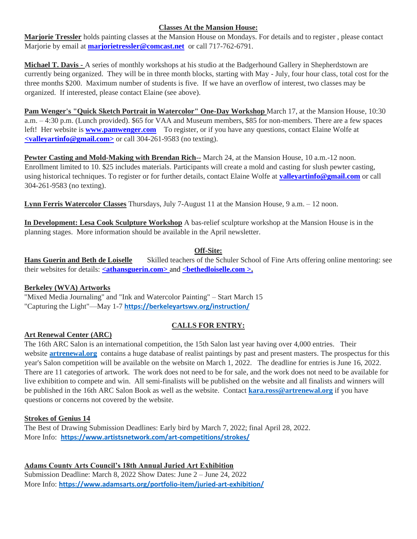#### **Classes At the Mansion House:**

**Marjorie Tressler** holds painting classes at the Mansion House on Mondays. For details and to register , please contact Marjorie by email at **marjorietressler@comcast.net** or call 717-762-6791.

**Michael T. Davis -** A series of monthly workshops at his studio at the Badgerhound Gallery in Shepherdstown are currently being organized. They will be in three month blocks, starting with May - July, four hour class, total cost for the three months \$200. Maximum number of students is five. If we have an overflow of interest, two classes may be organized. If interested, please contact Elaine (see above).

**Pam Wenger's "Quick Sketch Portrait in Watercolor" One-Day Workshop** March 17, at the Mansion House, 10:30 a.m. – 4:30 p.m. (Lunch provided). \$65 for VAA and Museum members, \$85 for non-members. There are a few spaces left! Her website is **www.pamwenger.com** To register, or if you have any questions, contact Elaine Wolfe at **<valleyartinfo@gmail.com>** or call 304-261-9583 (no texting).

**Pewter Casting and Mold-Making with Brendan Rich--** March 24, at the Mansion House, 10 a.m.-12 noon. Enrollment limited to 10. \$25 includes materials. Participants will create a mold and casting for slush pewter casting, using historical techniques. To register or for further details, contact Elaine Wolfe at **valleyartinfo@gmail.com** or call 304-261-9583 (no texting).

**Lynn Ferris Watercolor Classes** Thursdays, July 7-August 11 at the Mansion House, 9 a.m. – 12 noon.

**In Development: Lesa Cook Sculpture Workshop** A bas-relief sculpture workshop at the Mansion House is in the planning stages. More information should be available in the April newsletter.

## **Off-Site:**

**Hans Guerin and Beth de Loiselle** Skilled teachers of the Schuler School of Fine Arts offering online mentoring: see their websites for details: **<athansguerin.com>** and **<bethedloiselle.com >.**

## **Berkeley (WVA) Artworks**

"Mixed Media Journaling" and "Ink and Watercolor Painting" – Start March 15 "Capturing the Light"—May 1-7 **https://berkeleyartswv.org/instruction/**

## **CALLS FOR ENTRY:**

## **Art Renewal Center (ARC)**

The 16th ARC Salon is an international competition, the 15th Salon last year having over 4,000 entries. Their website **[artrenewal.org](http://artrenewal.org/)** contains a huge database of realist paintings by past and present masters. The prospectus for this year's Salon competition will be available on the website on March 1, 2022. The deadline for entries is June 16, 2022. There are 11 categories of artwork. The work does not need to be for sale, and the work does not need to be available for live exhibition to compete and win. All semi-finalists will be published on the website and all finalists and winners will be published in the 16th ARC Salon Book as well as the website. Contact **[kara.ross@artrenewal.org](mailto:kara.ross@artrenewal.org)** if you have questions or concerns not covered by the website.

#### **Strokes of Genius 14**

The Best of Drawing Submission Deadlines: Early bird by March 7, 2022; final April 28, 2022. More Info: **https://www.artistsnetwork.com/art-competitions/strokes/**

**Adams County Arts Council's 18th Annual Juried Art Exhibition** 

Submission Deadline: March 8, 2022 Show Dates: June 2 – June 24, 2022 More Info: **https://www.adamsarts.org/portfolio-item/juried-art-exhibition/**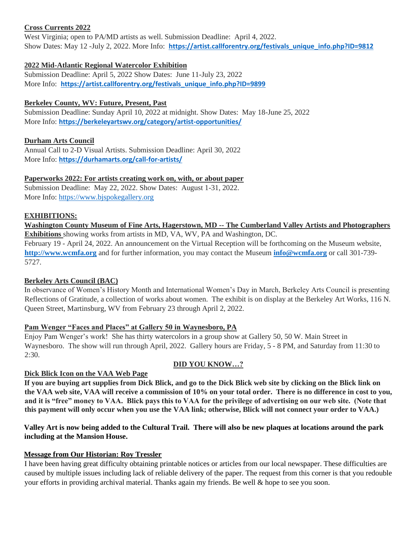#### **Cross Currents 2022**

West Virginia; open to PA/MD artists as well. Submission Deadline: April 4, 2022. Show Dates: May 12 -July 2, 2022. More Info: [https://artist.callforentry.org/festivals\\_unique\\_info.php?ID=9812](https://artist.callforentry.org/festivals_unique_info.php?ID=9812)

## **2022 Mid-Atlantic Regional Watercolor Exhibition**

Submission Deadline: April 5, 2022 Show Dates: June 11-July 23, 2022 More Info: **https://artist.callforentry.org/festivals\_unique\_info.php?ID=9899**

## **Berkeley County, WV: Future, Present, Past**

Submission Deadline: Sunday April 10, 2022 at midnight. Show Dates: May 18-June 25, 2022 More Info: **https://berkeleyartswv.org/category/artist-opportunities/**

## **Durham Arts Council**

Annual Call to 2-D Visual Artists. Submission Deadline: April 30, 2022 More Info: **https://durhamarts.org/call-for-artists/**

## **Paperworks 2022: For artists creating work on, with, or about paper**

Submission Deadline: May 22, 2022. Show Dates: August 1-31, 2022. More Info: [https://www.bjspokegallery.org](https://www.bjspokegallery.org/)

## **EXHIBITIONS:**

**Washington County Museum of Fine Arts, Hagerstown, MD -- The Cumberland Valley Artists and Photographers Exhibitions** showing works from artists in MD, VA, WV, PA and Washington, DC.

February 19 - April 24, 2022. An announcement on the Virtual Reception will be forthcoming on the Museum website, **[http://www.wcmfa.org](http://www.wcmfa.org/)** and for further information, you may contact the Museum **[info@wcmfa.org](mailto:info@wcmfa.org)** or call 301-739- 5727.

## **Berkeley Arts Council (BAC)**

In observance of Women's History Month and International Women's Day in March, Berkeley Arts Council is presenting Reflections of Gratitude, a collection of works about women. The exhibit is on display at the Berkeley Art Works, 116 N. Queen Street, Martinsburg, WV from February 23 through April 2, 2022.

## **Pam Wenger "Faces and Places" at Gallery 50 in Waynesboro, PA**

Enjoy Pam Wenger's work! She has thirty watercolors in a group show at Gallery 50, 50 W. Main Street in Waynesboro. The show will run through April, 2022. Gallery hours are Friday, 5 - 8 PM, and Saturday from 11:30 to  $2:30.$ 

# **DID YOU KNOW…?**

## **Dick Blick Icon on the VAA Web Page**

**If you are buying art supplies from Dick Blick, and go to the Dick Blick web site by clicking on the Blick link on the VAA web site, VAA will receive a commission of 10% on your total order. There is no difference in cost to you, and it is "free" money to VAA. Blick pays this to VAA for the privilege of advertising on our web site. (Note that this payment will only occur when you use the VAA link; otherwise, Blick will not connect your order to VAA.)** 

## **Valley Art is now being added to the Cultural Trail. There will also be new plaques at locations around the park including at the Mansion House.**

## **Message from Our Historian: Roy Tressler**

I have been having great difficulty obtaining printable notices or articles from our local newspaper. These difficulties are caused by multiple issues including lack of reliable delivery of the paper. The request from this corner is that you redouble your efforts in providing archival material. Thanks again my friends. Be well & hope to see you soon.